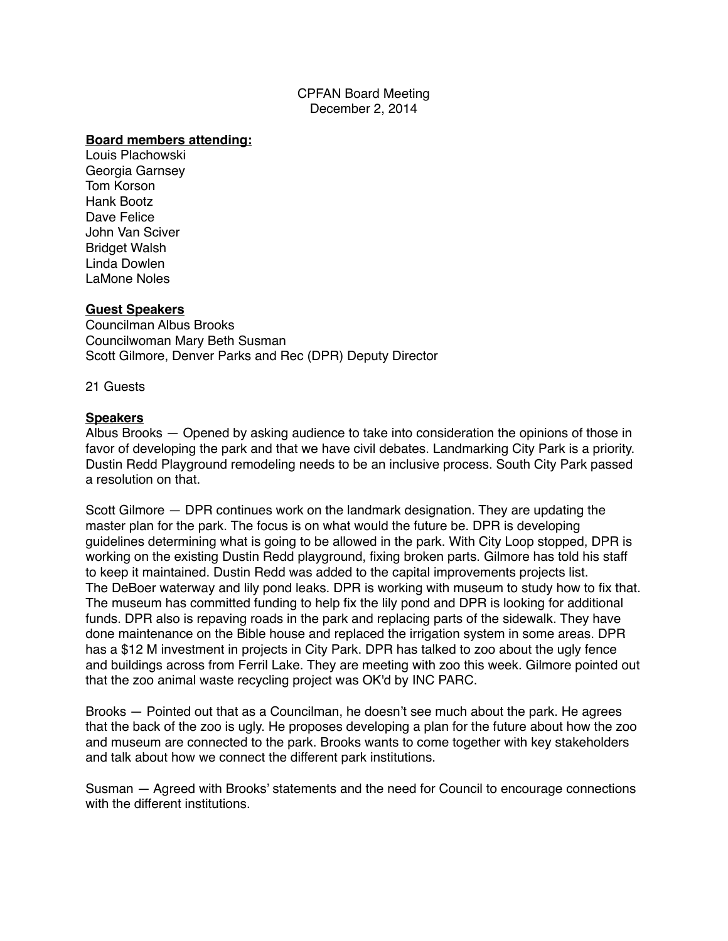CPFAN Board Meeting December 2, 2014

#### **Board members attending:**

Louis Plachowski Georgia Garnsey Tom Korson Hank Bootz Dave Felice John Van Sciver Bridget Walsh Linda Dowlen LaMone Noles

#### **Guest Speakers**

Councilman Albus Brooks Councilwoman Mary Beth Susman Scott Gilmore, Denver Parks and Rec (DPR) Deputy Director

21 Guests

#### **Speakers**

Albus Brooks — Opened by asking audience to take into consideration the opinions of those in favor of developing the park and that we have civil debates. Landmarking City Park is a priority. Dustin Redd Playground remodeling needs to be an inclusive process. South City Park passed a resolution on that.

Scott Gilmore — DPR continues work on the landmark designation. They are updating the master plan for the park. The focus is on what would the future be. DPR is developing guidelines determining what is going to be allowed in the park. With City Loop stopped, DPR is working on the existing Dustin Redd playground, fixing broken parts. Gilmore has told his staff to keep it maintained. Dustin Redd was added to the capital improvements projects list. The DeBoer waterway and lily pond leaks. DPR is working with museum to study how to fix that. The museum has committed funding to help fix the lily pond and DPR is looking for additional funds. DPR also is repaving roads in the park and replacing parts of the sidewalk. They have done maintenance on the Bible house and replaced the irrigation system in some areas. DPR has a \$12 M investment in projects in City Park. DPR has talked to zoo about the ugly fence and buildings across from Ferril Lake. They are meeting with zoo this week. Gilmore pointed out that the zoo animal waste recycling project was OK'd by INC PARC.

Brooks — Pointed out that as a Councilman, he doesn't see much about the park. He agrees that the back of the zoo is ugly. He proposes developing a plan for the future about how the zoo and museum are connected to the park. Brooks wants to come together with key stakeholders and talk about how we connect the different park institutions.

Susman — Agreed with Brooks' statements and the need for Council to encourage connections with the different institutions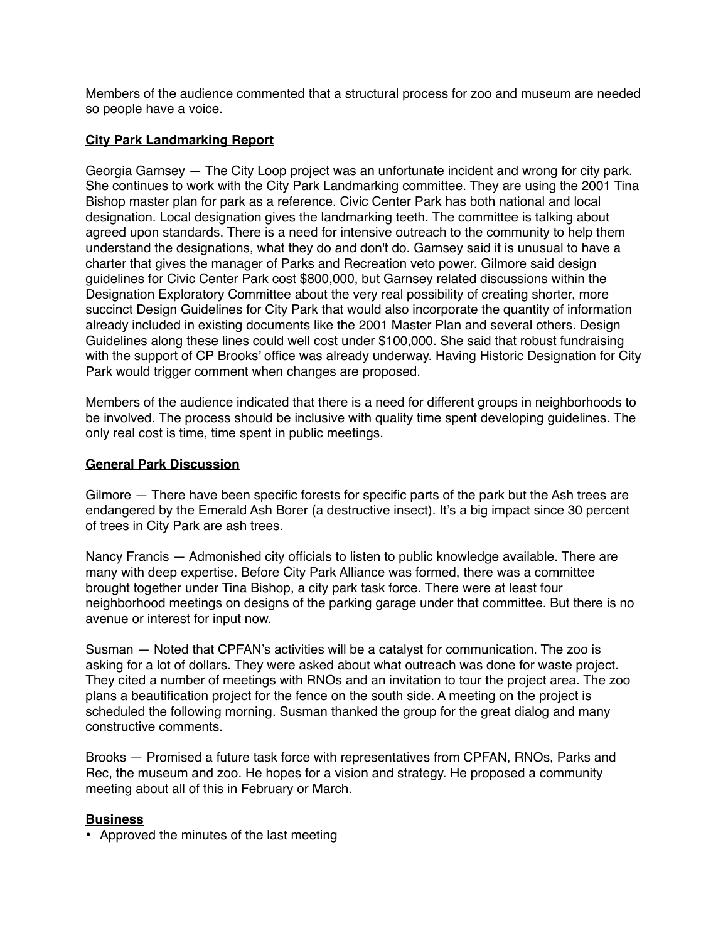Members of the audience commented that a structural process for zoo and museum are needed so people have a voice.

# **City Park Landmarking Report**

Georgia Garnsey — The City Loop project was an unfortunate incident and wrong for city park. She continues to work with the City Park Landmarking committee. They are using the 2001 Tina Bishop master plan for park as a reference. Civic Center Park has both national and local designation. Local designation gives the landmarking teeth. The committee is talking about agreed upon standards. There is a need for intensive outreach to the community to help them understand the designations, what they do and don't do. Garnsey said it is unusual to have a charter that gives the manager of Parks and Recreation veto power. Gilmore said design guidelines for Civic Center Park cost \$800,000, but Garnsey related discussions within the Designation Exploratory Committee about the very real possibility of creating shorter, more succinct Design Guidelines for City Park that would also incorporate the quantity of information already included in existing documents like the 2001 Master Plan and several others. Design Guidelines along these lines could well cost under \$100,000. She said that robust fundraising with the support of CP Brooks' office was already underway. Having Historic Designation for City Park would trigger comment when changes are proposed.

Members of the audience indicated that there is a need for different groups in neighborhoods to be involved. The process should be inclusive with quality time spent developing guidelines. The only real cost is time, time spent in public meetings.

# **General Park Discussion**

Gilmore — There have been specific forests for specific parts of the park but the Ash trees are endangered by the Emerald Ash Borer (a destructive insect). It's a big impact since 30 percent of trees in City Park are ash trees.

Nancy Francis — Admonished city officials to listen to public knowledge available. There are many with deep expertise. Before City Park Alliance was formed, there was a committee brought together under Tina Bishop, a city park task force. There were at least four neighborhood meetings on designs of the parking garage under that committee. But there is no avenue or interest for input now.

Susman — Noted that CPFAN's activities will be a catalyst for communication. The zoo is asking for a lot of dollars. They were asked about what outreach was done for waste project. They cited a number of meetings with RNOs and an invitation to tour the project area. The zoo plans a beautification project for the fence on the south side. A meeting on the project is scheduled the following morning. Susman thanked the group for the great dialog and many constructive comments.

Brooks — Promised a future task force with representatives from CPFAN, RNOs, Parks and Rec, the museum and zoo. He hopes for a vision and strategy. He proposed a community meeting about all of this in February or March.

### **Business**

• Approved the minutes of the last meeting